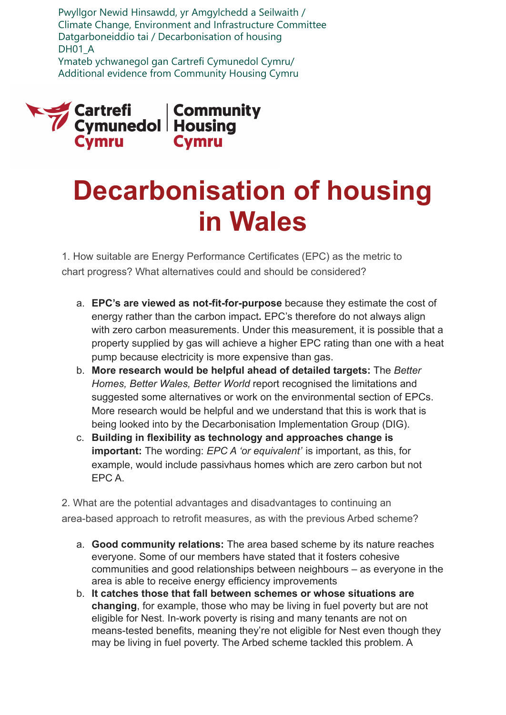Pwyllgor Newid Hinsawdd, yr Amgylchedd a Seilwaith / Climate Change, Environment and Infrastructure Committee Datgarboneiddio tai / Decarbonisation of housing DH01 A Ymateb ychwanegol gan Cartrefi Cymunedol Cymru/ Additional evidence from Community Housing Cymru



## **Decarbonisation of housing in Wales**

1. How suitable are Energy Performance Certificates (EPC) as the metric to chart progress? What alternatives could and should be considered?

- a. **EPC's are viewed as not-fit-for-purpose** because they estimate the cost of energy rather than the carbon impact**.** EPC's therefore do not always align with zero carbon measurements. Under this measurement, it is possible that a property supplied by gas will achieve a higher EPC rating than one with a heat pump because electricity is more expensive than gas.
- b. **More research would be helpful ahead of detailed targets:** The *Better Homes, Better Wales, Better World* report recognised the limitations and suggested some alternatives or work on the environmental section of EPCs. More research would be helpful and we understand that this is work that is being looked into by the Decarbonisation Implementation Group (DIG).
- c. **Building in flexibility as technology and approaches change is important:** The wording: *EPC A 'or equivalent'* is important, as this, for example, would include passivhaus homes which are zero carbon but not EPC A.

2. What are the potential advantages and disadvantages to continuing an area-based approach to retrofit measures, as with the previous Arbed scheme?

- a. **Good community relations:** The area based scheme by its nature reaches everyone. Some of our members have stated that it fosters cohesive communities and good relationships between neighbours – as everyone in the area is able to receive energy efficiency improvements
- b. **It catches those that fall between schemes or whose situations are changing**, for example, those who may be living in fuel poverty but are not eligible for Nest. In-work poverty is rising and many tenants are not on means-tested benefits, meaning they're not eligible for Nest even though they may be living in fuel poverty. The Arbed scheme tackled this problem. A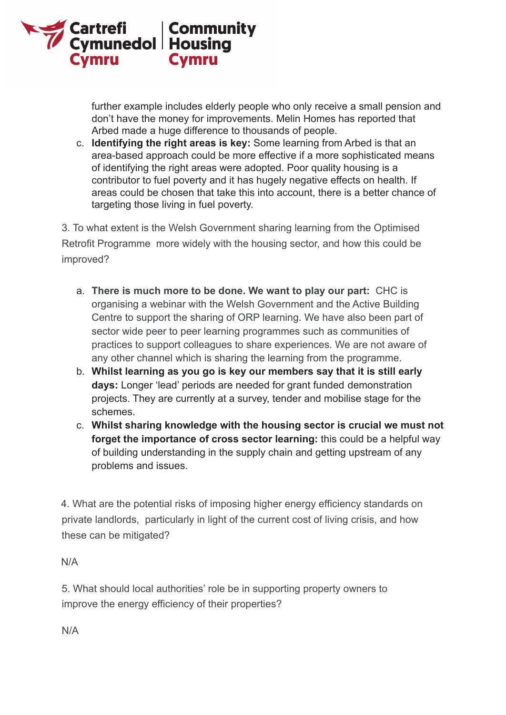

further example includes elderly people who only receive a small pension and don't have the money for improvements. Melin Homes has reported that Arbed made a huge difference to thousands of people.

c. **Identifying the right areas is key:** Some learning from Arbed is that an area-based approach could be more effective if a more sophisticated means of identifying the right areas were adopted. Poor quality housing is a contributor to fuel poverty and it has hugely negative effects on health. If areas could be chosen that take this into account, there is a better chance of targeting those living in fuel poverty.

3. To what extent is the Welsh Government sharing learning from the Optimised Retrofit Programme more widely with the housing sector, and how this could be improved?

- a. **There is much more to be done. We want to play our part:** CHC is organising a webinar with the Welsh Government and the Active Building Centre to support the sharing of ORP learning. We have also been part of sector wide peer to peer learning programmes such as communities of practices to support colleagues to share experiences. We are not aware of any other channel which is sharing the learning from the programme.
- b. **Whilst learning as you go is key our members say that it is still early** days: Longer 'lead' periods are needed for grant funded demonstration projects. They are currently at a survey, tender and mobilise stage for the schemes.
- c. **Whilst sharing knowledge with the housing sector is crucial we must not forget the importance of cross sector learning:** this could be a helpful way of building understanding in the supply chain and getting upstream of any problems and issues.

4. What are the potential risks of imposing higher energy efficiency standards on private landlords, particularly in light of the current cost of living crisis, and how these can be mitigated?

N/A

5. What should local authorities' role be in supporting property owners to improve the energy efficiency of their properties?

N/A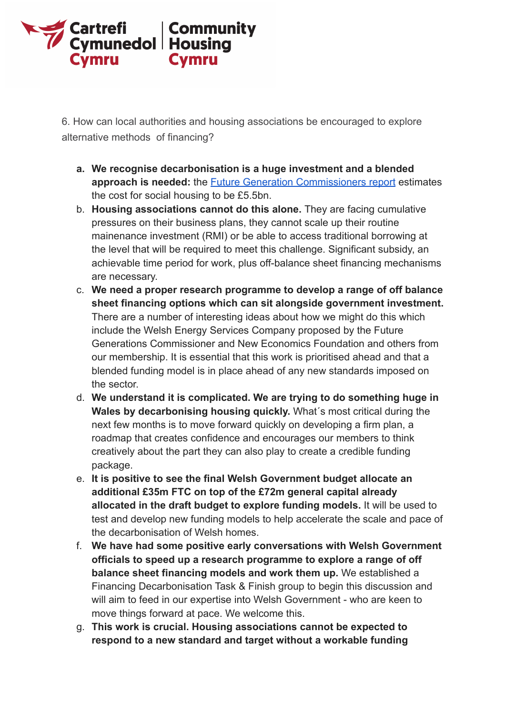

6. How can local authorities and housing associations be encouraged to explore alternative methods of financing?

- **a. We recognise decarbonisation is a huge investment and a blended approach is needed:** the [Future Generation Commissioners report](https://www.futuregenerations.wales/resources_posts/homes-fit-for-the-future-the-retrofit-challenge/) estimates the cost for social housing to be £5.5bn.
- b. **Housing associations cannot do this alone.** They are facing cumulative pressures on their business plans, they cannot scale up their routine mainenance investment (RMI) or be able to access traditional borrowing at the level that will be required to meet this challenge. Significant subsidy, an achievable time period for work, plus off-balance sheet financing mechanisms are necessary.
- c. **We need a proper research programme to develop a range of off balance sheet financing options which can sit alongside government investment.** There are a number of interesting ideas about how we might do this which include the Welsh Energy Services Company proposed by the Future Generations Commissioner and New Economics Foundation and others from our membership. It is essential that this work is prioritised ahead and that a blended funding model is in place ahead of any new standards imposed on the sector.
- d. **We understand it is complicated. We are trying to do something huge in Wales by decarbonising housing quickly.** What´s most critical during the next few months is to move forward quickly on developing a firm plan, a roadmap that creates confidence and encourages our members to think creatively about the part they can also play to create a credible funding package.
- e. **It is positive to see the final Welsh Government budget allocate an additional £35m FTC on top of the £72m general capital already allocated in the draft budget to explore funding models.** It will be used to test and develop new funding models to help accelerate the scale and pace of the decarbonisation of Welsh homes.
- f. **We have had some positive early conversations with Welsh Government officials to speed up a research programme to explore a range of off balance sheet financing models and work them up.** We established a Financing Decarbonisation Task & Finish group to begin this discussion and will aim to feed in our expertise into Welsh Government - who are keen to move things forward at pace. We welcome this.
- g. **This work is crucial. Housing associations cannot be expected to respond to a new standard and target without a workable funding**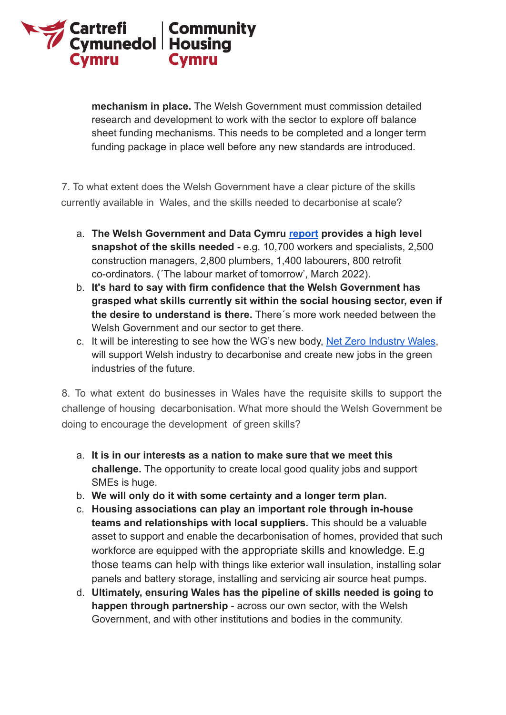

**mechanism in place.** The Welsh Government must commission detailed research and development to work with the sector to explore off balance sheet funding mechanisms. This needs to be completed and a longer term funding package in place well before any new standards are introduced.

7. To what extent does the Welsh Government have a clear picture of the skills currently available in Wales, and the skills needed to decarbonise at scale?

- a. **The Welsh Government and Data Cymru [report](https://chcymru.org.uk/cms-assets/documents/The-labour-market-of-tomorrow-%E2%80%93-Jobs-Skills-and-the-Transition-to-a-Green-Economy.pdf) provides a high level snapshot of the skills needed -** e.g. 10,700 workers and specialists, 2,500 construction managers, 2,800 plumbers, 1,400 labourers, 800 retrofit co-ordinators. (´The labour market of tomorrow', March 2022).
- b. **It's hard to say with firm confidence that the Welsh Government has grasped what skills currently sit within the social housing sector, even if the desire to understand is there.** There´s more work needed between the Welsh Government and our sector to get there.
- c. It will be interesting to see how the WG's new body, [Net Zero Industry Wales](https://gov.wales/net-zero-industry-wales-established-support-decarbonisation-welsh-industry), will support Welsh industry to decarbonise and create new jobs in the green industries of the future.

8. To what extent do businesses in Wales have the requisite skills to support the challenge of housing decarbonisation. What more should the Welsh Government be doing to encourage the development of green skills?

- a. **It is in our interests as a nation to make sure that we meet this challenge.** The opportunity to create local good quality jobs and support SMEs is huge.
- b. **We will only do it with some certainty and a longer term plan.**
- c. **Housing associations can play an important role through in-house teams and relationships with local suppliers.** This should be a valuable asset to support and enable the decarbonisation of homes, provided that such workforce are equipped with the appropriate skills and knowledge. E.g those teams can help with things like exterior wall insulation, installing solar panels and battery storage, installing and servicing air source heat pumps.
- d. **Ultimately, ensuring Wales has the pipeline of skills needed is going to happen through partnership** - across our own sector, with the Welsh Government, and with other institutions and bodies in the community.